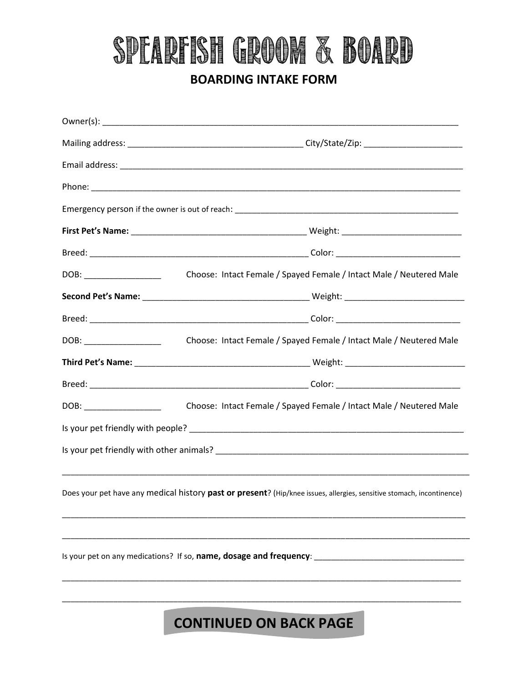## SPEAREISH GROOM & BOARD

### **BOARDING INTAKE FORM**

| DOB: ____________________     | Choose: Intact Female / Spayed Female / Intact Male / Neutered Male                                                   |
|-------------------------------|-----------------------------------------------------------------------------------------------------------------------|
|                               |                                                                                                                       |
|                               |                                                                                                                       |
|                               | Choose: Intact Female / Spayed Female / Intact Male / Neutered Male                                                   |
|                               |                                                                                                                       |
|                               |                                                                                                                       |
|                               | Choose: Intact Female / Spayed Female / Intact Male / Neutered Male                                                   |
|                               |                                                                                                                       |
|                               |                                                                                                                       |
|                               |                                                                                                                       |
|                               | Does your pet have any medical history past or present? (Hip/knee issues, allergies, sensitive stomach, incontinence) |
|                               |                                                                                                                       |
|                               | Is your pet on any medications? If so, name, dosage and frequency:                                                    |
|                               |                                                                                                                       |
| <b>CONTINUED ON BACK PAGE</b> |                                                                                                                       |